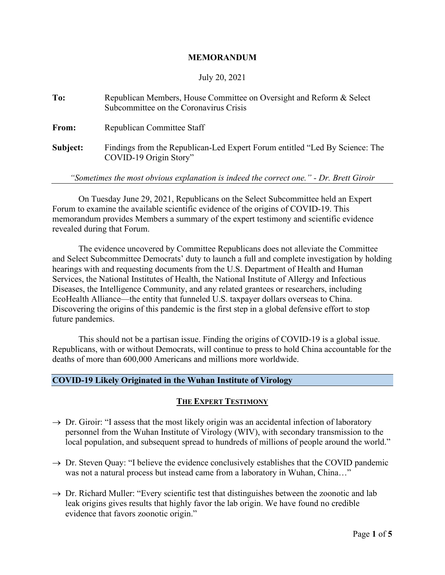#### **MEMORANDUM**

#### July 20, 2021

| To:      | Republican Members, House Committee on Oversight and Reform & Select<br>Subcommittee on the Coronavirus Crisis |
|----------|----------------------------------------------------------------------------------------------------------------|
| From:    | Republican Committee Staff                                                                                     |
| Subject: | Findings from the Republican-Led Expert Forum entitled "Led By Science: The<br>COVID-19 Origin Story"          |

*"Sometimes the most obvious explanation is indeed the correct one." - Dr. Brett Giroir*

On Tuesday June 29, 2021, Republicans on the Select Subcommittee held an Expert Forum to examine the available scientific evidence of the origins of COVID-19. This memorandum provides Members a summary of the expert testimony and scientific evidence revealed during that Forum.

The evidence uncovered by Committee Republicans does not alleviate the Committee and Select Subcommittee Democrats' duty to launch a full and complete investigation by holding hearings with and requesting documents from the U.S. Department of Health and Human Services, the National Institutes of Health, the National Institute of Allergy and Infectious Diseases, the Intelligence Community, and any related grantees or researchers, including EcoHealth Alliance—the entity that funneled U.S. taxpayer dollars overseas to China. Discovering the origins of this pandemic is the first step in a global defensive effort to stop future pandemics.

This should not be a partisan issue. Finding the origins of COVID-19 is a global issue. Republicans, with or without Democrats, will continue to press to hold China accountable for the deaths of more than 600,000 Americans and millions more worldwide.

#### **COVID-19 Likely Originated in the Wuhan Institute of Virology**

#### **THE EXPERT TESTIMONY**

- $\rightarrow$  Dr. Giroir: "I assess that the most likely origin was an accidental infection of laboratory personnel from the Wuhan Institute of Virology (WIV), with secondary transmission to the local population, and subsequent spread to hundreds of millions of people around the world."
- $\rightarrow$  Dr. Steven Quay: "I believe the evidence conclusively establishes that the COVID pandemic was not a natural process but instead came from a laboratory in Wuhan, China..."
- $\rightarrow$  Dr. Richard Muller: "Every scientific test that distinguishes between the zoonotic and lab leak origins gives results that highly favor the lab origin. We have found no credible evidence that favors zoonotic origin."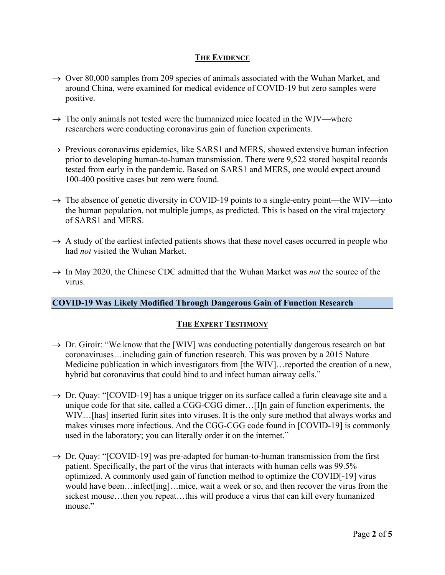### **THE EVIDENCE**

- $\rightarrow$  Over 80,000 samples from 209 species of animals associated with the Wuhan Market, and around China, were examined for medical evidence of COVID-19 but zero samples were positive.
- $\rightarrow$  The only animals not tested were the humanized mice located in the WIV—where researchers were conducting coronavirus gain of function experiments.
- $\rightarrow$  Previous coronavirus epidemics, like SARS1 and MERS, showed extensive human infection prior to developing human-to-human transmission. There were 9,522 stored hospital records tested from early in the pandemic. Based on SARS1 and MERS, one would expect around 100-400 positive cases but zero were found.
- $\rightarrow$  The absence of genetic diversity in COVID-19 points to a single-entry point—the WIV—into the human population, not multiple jumps, as predicted. This is based on the viral trajectory of SARS1 and MERS.
- $\rightarrow$  A study of the earliest infected patients shows that these novel cases occurred in people who had *not* visited the Wuhan Market.
- → In May 2020, the Chinese CDC admitted that the Wuhan Market was *not* the source of the virus.

# **COVID-19 Was Likely Modified Through Dangerous Gain of Function Research**

# **THE EXPERT TESTIMONY**

- $\rightarrow$  Dr. Giroir: "We know that the [WIV] was conducting potentially dangerous research on bat coronaviruses…including gain of function research. This was proven by a 2015 Nature Medicine publication in which investigators from [the WIV]... reported the creation of a new, hybrid bat coronavirus that could bind to and infect human airway cells."
- $\rightarrow$  Dr. Quay: "[COVID-19] has a unique trigger on its surface called a furin cleavage site and a unique code for that site, called a CGG-CGG dimer…[I]n gain of function experiments, the WIV…[has] inserted furin sites into viruses. It is the only sure method that always works and makes viruses more infectious. And the CGG-CGG code found in [COVID-19] is commonly used in the laboratory; you can literally order it on the internet."
- $\rightarrow$  Dr. Quay: "[COVID-19] was pre-adapted for human-to-human transmission from the first patient. Specifically, the part of the virus that interacts with human cells was 99.5% optimized. A commonly used gain of function method to optimize the COVID[-19] virus would have been…infect[ing]…mice, wait a week or so, and then recover the virus from the sickest mouse…then you repeat…this will produce a virus that can kill every humanized mouse."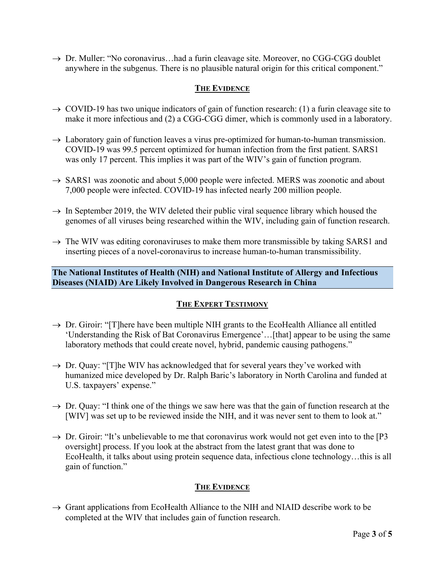$\rightarrow$  Dr. Muller: "No coronavirus...had a furin cleavage site. Moreover, no CGG-CGG doublet anywhere in the subgenus. There is no plausible natural origin for this critical component."

# **THE EVIDENCE**

- $\rightarrow$  COVID-19 has two unique indicators of gain of function research: (1) a furin cleavage site to make it more infectious and (2) a CGG-CGG dimer, which is commonly used in a laboratory.
- $\rightarrow$  Laboratory gain of function leaves a virus pre-optimized for human-to-human transmission. COVID-19 was 99.5 percent optimized for human infection from the first patient. SARS1 was only 17 percent. This implies it was part of the WIV's gain of function program.
- $\rightarrow$  SARS1 was zoonotic and about 5,000 people were infected. MERS was zoonotic and about 7,000 people were infected. COVID-19 has infected nearly 200 million people.
- $\rightarrow$  In September 2019, the WIV deleted their public viral sequence library which housed the genomes of all viruses being researched within the WIV, including gain of function research.
- $\rightarrow$  The WIV was editing coronaviruses to make them more transmissible by taking SARS1 and inserting pieces of a novel-coronavirus to increase human-to-human transmissibility.

# **The National Institutes of Health (NIH) and National Institute of Allergy and Infectious Diseases (NIAID) Are Likely Involved in Dangerous Research in China**

# **THE EXPERT TESTIMONY**

- $\rightarrow$  Dr. Giroir: "[T]here have been multiple NIH grants to the EcoHealth Alliance all entitled 'Understanding the Risk of Bat Coronavirus Emergence'…[that] appear to be using the same laboratory methods that could create novel, hybrid, pandemic causing pathogens."
- $\rightarrow$  Dr. Quay: "[T]he WIV has acknowledged that for several years they've worked with humanized mice developed by Dr. Ralph Baric's laboratory in North Carolina and funded at U.S. taxpayers' expense."
- $\rightarrow$  Dr. Quay: "I think one of the things we saw here was that the gain of function research at the [WIV] was set up to be reviewed inside the NIH, and it was never sent to them to look at."
- $\rightarrow$  Dr. Giroir: "It's unbelievable to me that coronavirus work would not get even into to the [P3] oversight] process. If you look at the abstract from the latest grant that was done to EcoHealth, it talks about using protein sequence data, infectious clone technology…this is all gain of function."

# **THE EVIDENCE**

 $\rightarrow$  Grant applications from EcoHealth Alliance to the NIH and NIAID describe work to be completed at the WIV that includes gain of function research.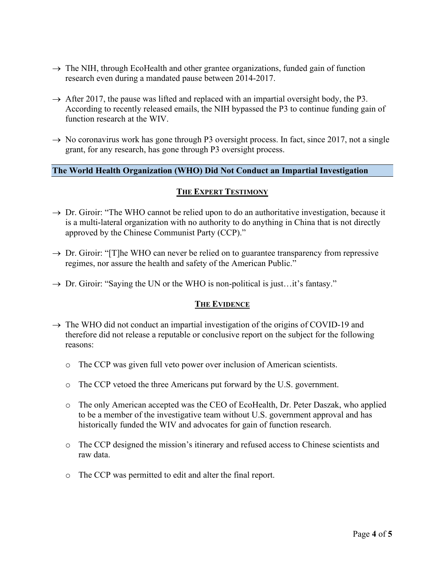- $\rightarrow$  The NIH, through EcoHealth and other grantee organizations, funded gain of function research even during a mandated pause between 2014-2017.
- $\rightarrow$  After 2017, the pause was lifted and replaced with an impartial oversight body, the P3. According to recently released emails, the NIH bypassed the P3 to continue funding gain of function research at the WIV.
- $\rightarrow$  No coronavirus work has gone through P3 oversight process. In fact, since 2017, not a single grant, for any research, has gone through P3 oversight process.

### **The World Health Organization (WHO) Did Not Conduct an Impartial Investigation**

#### **THE EXPERT TESTIMONY**

- $\rightarrow$  Dr. Giroir: "The WHO cannot be relied upon to do an authoritative investigation, because it is a multi-lateral organization with no authority to do anything in China that is not directly approved by the Chinese Communist Party (CCP)."
- $\rightarrow$  Dr. Giroir: "[T]he WHO can never be relied on to guarantee transparency from repressive regimes, nor assure the health and safety of the American Public."
- $\rightarrow$  Dr. Giroir: "Saying the UN or the WHO is non-political is just...it's fantasy."

#### **THE EVIDENCE**

- $\rightarrow$  The WHO did not conduct an impartial investigation of the origins of COVID-19 and therefore did not release a reputable or conclusive report on the subject for the following reasons:
	- o The CCP was given full veto power over inclusion of American scientists.
	- o The CCP vetoed the three Americans put forward by the U.S. government.
	- o The only American accepted was the CEO of EcoHealth, Dr. Peter Daszak, who applied to be a member of the investigative team without U.S. government approval and has historically funded the WIV and advocates for gain of function research.
	- o The CCP designed the mission's itinerary and refused access to Chinese scientists and raw data.
	- o The CCP was permitted to edit and alter the final report.